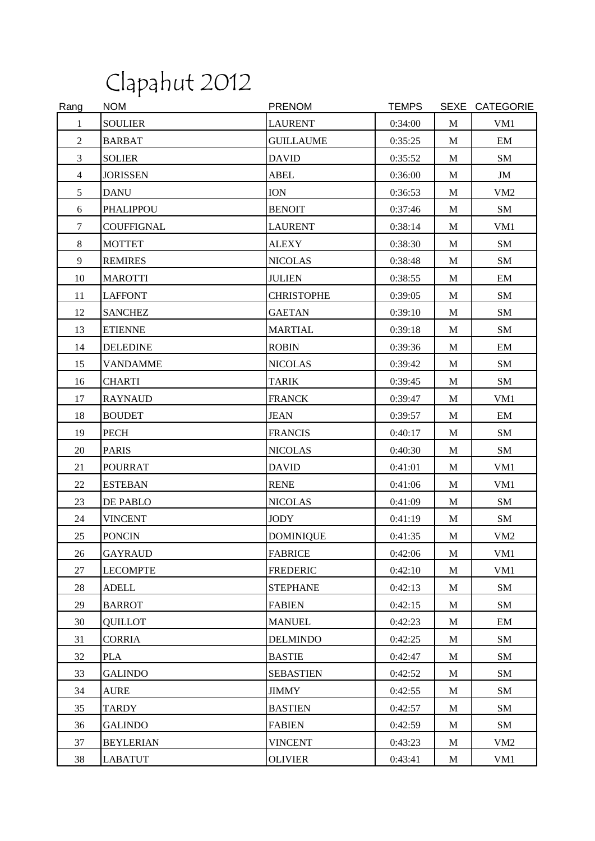## Clapahut 2012

| Rang           | <b>NOM</b>       | <b>PRENOM</b>     | <b>TEMPS</b> |              | SEXE CATEGORIE  |
|----------------|------------------|-------------------|--------------|--------------|-----------------|
| $\mathbf{1}$   | <b>SOULIER</b>   | <b>LAURENT</b>    | 0:34:00      | M            | VM1             |
| $\overline{2}$ | <b>BARBAT</b>    | <b>GUILLAUME</b>  | 0:35:25      | $\mathbf{M}$ | EM              |
| 3              | <b>SOLIER</b>    | <b>DAVID</b>      | 0:35:52      | $\mathbf M$  | SM              |
| $\overline{4}$ | <b>JORISSEN</b>  | <b>ABEL</b>       | 0:36:00      | M            | JM              |
| 5              | <b>DANU</b>      | <b>ION</b>        | 0:36:53      | M            | VM <sub>2</sub> |
| 6              | <b>PHALIPPOU</b> | <b>BENOIT</b>     | 0:37:46      | M            | SM              |
| $\tau$         | COUFFIGNAL       | <b>LAURENT</b>    | 0:38:14      | M            | VM1             |
| 8              | <b>MOTTET</b>    | <b>ALEXY</b>      | 0:38:30      | M            | SM              |
| 9              | <b>REMIRES</b>   | <b>NICOLAS</b>    | 0:38:48      | M            | SM              |
| 10             | <b>MAROTTI</b>   | <b>JULIEN</b>     | 0:38:55      | M            | EM              |
| 11             | <b>LAFFONT</b>   | <b>CHRISTOPHE</b> | 0:39:05      | M            | SM              |
| 12             | <b>SANCHEZ</b>   | <b>GAETAN</b>     | 0:39:10      | M            | SM              |
| 13             | <b>ETIENNE</b>   | <b>MARTIAL</b>    | 0:39:18      | M            | SM              |
| 14             | <b>DELEDINE</b>  | <b>ROBIN</b>      | 0:39:36      | $\mathbf M$  | EM              |
| 15             | VANDAMME         | <b>NICOLAS</b>    | 0:39:42      | M            | SM              |
| 16             | <b>CHARTI</b>    | <b>TARIK</b>      | 0:39:45      | M            | SM              |
| 17             | <b>RAYNAUD</b>   | <b>FRANCK</b>     | 0:39:47      | $\mathbf{M}$ | VM1             |
| 18             | <b>BOUDET</b>    | <b>JEAN</b>       | 0:39:57      | M            | EM              |
| 19             | PECH             | <b>FRANCIS</b>    | 0:40:17      | M            | SM              |
| 20             | <b>PARIS</b>     | <b>NICOLAS</b>    | 0:40:30      | M            | SM              |
| 21             | <b>POURRAT</b>   | <b>DAVID</b>      | 0:41:01      | M            | VM1             |
| 22             | <b>ESTEBAN</b>   | <b>RENE</b>       | 0:41:06      | M            | VM1             |
| 23             | DE PABLO         | <b>NICOLAS</b>    | 0:41:09      | M            | SM              |
| 24             | <b>VINCENT</b>   | <b>JODY</b>       | 0:41:19      | M            | SM              |
| 25             | <b>PONCIN</b>    | <b>DOMINIQUE</b>  | 0:41:35      | M            | VM <sub>2</sub> |
| 26             | <b>GAYRAUD</b>   | <b>FABRICE</b>    | 0:42:06      | M            | VM1             |
| 27             | <b>LECOMPTE</b>  | <b>FREDERIC</b>   | 0:42:10      | M            | VM1             |
| 28             | <b>ADELL</b>     | <b>STEPHANE</b>   | 0:42:13      | M            | SM              |
| 29             | <b>BARROT</b>    | <b>FABIEN</b>     | 0:42:15      | M            | SM              |
| 30             | QUILLOT          | <b>MANUEL</b>     | 0:42:23      | M            | EM              |
| 31             | <b>CORRIA</b>    | <b>DELMINDO</b>   | 0:42:25      | M            | SM              |
| 32             | <b>PLA</b>       | <b>BASTIE</b>     | 0:42:47      | M            | SM              |
| 33             | <b>GALINDO</b>   | <b>SEBASTIEN</b>  | 0:42:52      | M            | SM              |
| 34             | <b>AURE</b>      | <b>JIMMY</b>      | 0:42:55      | M            | SM              |
| 35             | TARDY            | <b>BASTIEN</b>    | 0:42:57      | M            | SM              |
| 36             | <b>GALINDO</b>   | <b>FABIEN</b>     | 0:42:59      | M            | SM              |
| 37             | <b>BEYLERIAN</b> | <b>VINCENT</b>    | 0:43:23      | M            | VM <sub>2</sub> |
| 38             | <b>LABATUT</b>   | <b>OLIVIER</b>    | 0:43:41      | M            | VM1             |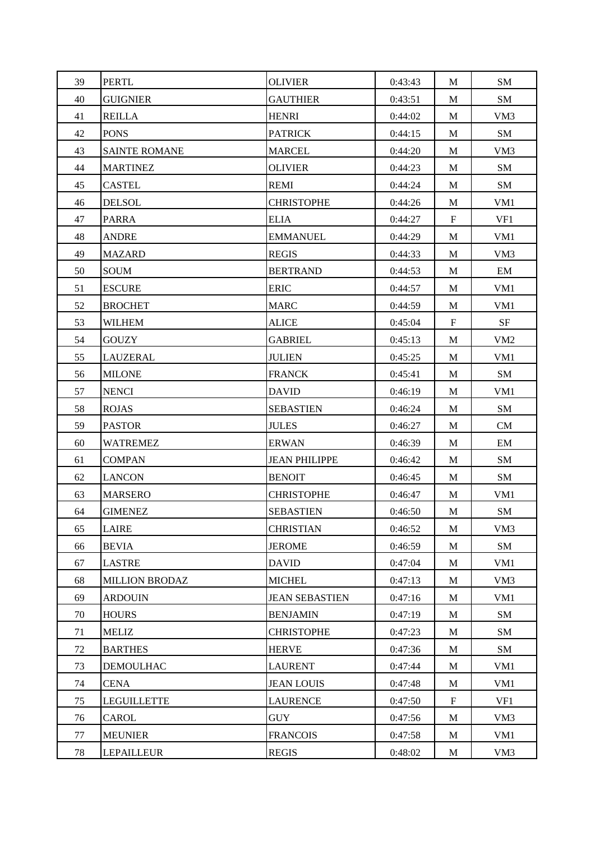| 39 | <b>PERTL</b>          | <b>OLIVIER</b>        | 0:43:43 | M                         | SM              |
|----|-----------------------|-----------------------|---------|---------------------------|-----------------|
| 40 | <b>GUIGNIER</b>       | <b>GAUTHIER</b>       | 0:43:51 | M                         | SM              |
| 41 | <b>REILLA</b>         | <b>HENRI</b>          | 0:44:02 | M                         | VM3             |
| 42 | <b>PONS</b>           | <b>PATRICK</b>        | 0:44:15 | M                         | SM              |
| 43 | <b>SAINTE ROMANE</b>  | <b>MARCEL</b>         | 0:44:20 | M                         | VM3             |
| 44 | <b>MARTINEZ</b>       | <b>OLIVIER</b>        | 0:44:23 | M                         | SM              |
| 45 | <b>CASTEL</b>         | <b>REMI</b>           | 0:44:24 | M                         | SM              |
| 46 | <b>DELSOL</b>         | <b>CHRISTOPHE</b>     | 0:44:26 | $\mathbf M$               | VM1             |
| 47 | <b>PARRA</b>          | <b>ELIA</b>           | 0:44:27 | $\mathbf F$               | VF1             |
| 48 | ANDRE                 | <b>EMMANUEL</b>       | 0:44:29 | M                         | VM1             |
| 49 | <b>MAZARD</b>         | <b>REGIS</b>          | 0:44:33 | M                         | VM <sub>3</sub> |
| 50 | SOUM                  | <b>BERTRAND</b>       | 0:44:53 | M                         | EM              |
| 51 | <b>ESCURE</b>         | <b>ERIC</b>           | 0:44:57 | M                         | VM1             |
| 52 | <b>BROCHET</b>        | <b>MARC</b>           | 0:44:59 | M                         | VM1             |
| 53 | <b>WILHEM</b>         | <b>ALICE</b>          | 0:45:04 | $\boldsymbol{\mathrm{F}}$ | <b>SF</b>       |
| 54 | <b>GOUZY</b>          | <b>GABRIEL</b>        | 0:45:13 | M                         | VM <sub>2</sub> |
| 55 | LAUZERAL              | <b>JULIEN</b>         | 0:45:25 | M                         | VM1             |
| 56 | <b>MILONE</b>         | <b>FRANCK</b>         | 0:45:41 | M                         | SM              |
| 57 | <b>NENCI</b>          | <b>DAVID</b>          | 0:46:19 | M                         | VM1             |
| 58 | <b>ROJAS</b>          | <b>SEBASTIEN</b>      | 0:46:24 | M                         | SM              |
| 59 | <b>PASTOR</b>         | <b>JULES</b>          | 0:46:27 | M                         | <b>CM</b>       |
| 60 | WATREMEZ              | <b>ERWAN</b>          | 0:46:39 | M                         | EM              |
| 61 | <b>COMPAN</b>         | <b>JEAN PHILIPPE</b>  | 0:46:42 | M                         | SM              |
| 62 | <b>LANCON</b>         | <b>BENOIT</b>         | 0:46:45 | M                         | SM              |
| 63 | <b>MARSERO</b>        | <b>CHRISTOPHE</b>     | 0:46:47 | M                         | VM1             |
| 64 | <b>GIMENEZ</b>        | <b>SEBASTIEN</b>      | 0:46:50 | $\mathbf M$               | SM              |
| 65 | LAIRE                 | <b>CHRISTIAN</b>      | 0:46:52 | M                         | VM3             |
| 66 | <b>BEVIA</b>          | <b>JEROME</b>         | 0:46:59 | M                         | SM              |
| 67 | <b>LASTRE</b>         | <b>DAVID</b>          | 0:47:04 | M                         | VM1             |
| 68 | <b>MILLION BRODAZ</b> | <b>MICHEL</b>         | 0:47:13 | $\mathbf M$               | VM3             |
| 69 | <b>ARDOUIN</b>        | <b>JEAN SEBASTIEN</b> | 0:47:16 | M                         | VM1             |
| 70 | <b>HOURS</b>          | <b>BENJAMIN</b>       | 0:47:19 | $\mathbf M$               | SM              |
| 71 | <b>MELIZ</b>          | <b>CHRISTOPHE</b>     | 0:47:23 | M                         | SM              |
| 72 | <b>BARTHES</b>        | <b>HERVE</b>          | 0:47:36 | M                         | SM              |
| 73 | <b>DEMOULHAC</b>      | <b>LAURENT</b>        | 0:47:44 | M                         | VM1             |
| 74 | <b>CENA</b>           | <b>JEAN LOUIS</b>     | 0:47:48 | M                         | VM1             |
| 75 | <b>LEGUILLETTE</b>    | <b>LAURENCE</b>       | 0:47:50 | $\mathbf F$               | VF1             |
| 76 | CAROL                 | <b>GUY</b>            | 0:47:56 | M                         | VM <sub>3</sub> |
| 77 | <b>MEUNIER</b>        | <b>FRANCOIS</b>       | 0:47:58 | M                         | VM1             |
| 78 | <b>LEPAILLEUR</b>     | <b>REGIS</b>          | 0:48:02 | M                         | VM <sub>3</sub> |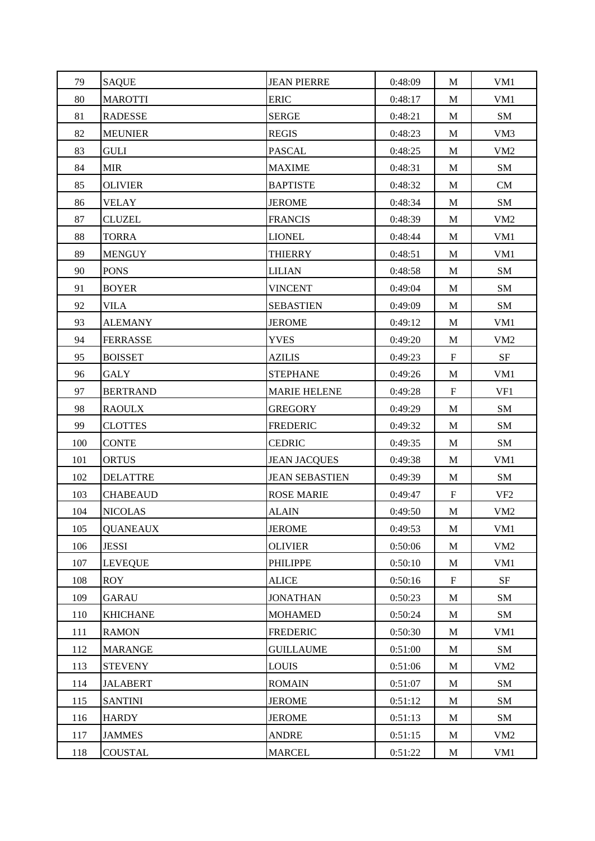| 79  | <b>SAQUE</b>    | <b>JEAN PIERRE</b>    | 0:48:09 | M           | VM1             |
|-----|-----------------|-----------------------|---------|-------------|-----------------|
| 80  | <b>MAROTTI</b>  | <b>ERIC</b>           | 0:48:17 | M           | VM1             |
| 81  | <b>RADESSE</b>  | <b>SERGE</b>          | 0:48:21 | $\mathbf M$ | SM              |
| 82  | <b>MEUNIER</b>  | <b>REGIS</b>          | 0:48:23 | M           | VM3             |
| 83  | GULI            | <b>PASCAL</b>         | 0:48:25 | M           | VM <sub>2</sub> |
| 84  | MIR             | <b>MAXIME</b>         | 0:48:31 | M           | SM              |
| 85  | <b>OLIVIER</b>  | <b>BAPTISTE</b>       | 0:48:32 | M           | CM              |
| 86  | <b>VELAY</b>    | <b>JEROME</b>         | 0:48:34 | M           | SM              |
| 87  | <b>CLUZEL</b>   | <b>FRANCIS</b>        | 0:48:39 | M           | VM <sub>2</sub> |
| 88  | <b>TORRA</b>    | <b>LIONEL</b>         | 0:48:44 | M           | VM1             |
| 89  | <b>MENGUY</b>   | <b>THIERRY</b>        | 0:48:51 | M           | VM1             |
| 90  | <b>PONS</b>     | <b>LILIAN</b>         | 0:48:58 | M           | SM              |
| 91  | <b>BOYER</b>    | <b>VINCENT</b>        | 0:49:04 | M           | SM              |
| 92  | VILA            | <b>SEBASTIEN</b>      | 0:49:09 | M           | SM              |
| 93  | <b>ALEMANY</b>  | <b>JEROME</b>         | 0:49:12 | M           | VM1             |
| 94  | <b>FERRASSE</b> | <b>YVES</b>           | 0:49:20 | M           | VM <sub>2</sub> |
| 95  | <b>BOISSET</b>  | <b>AZILIS</b>         | 0:49:23 | $\mathbf F$ | SF              |
| 96  | GALY            | <b>STEPHANE</b>       | 0:49:26 | M           | VM1             |
| 97  | <b>BERTRAND</b> | <b>MARIE HELENE</b>   | 0:49:28 | $\mathbf F$ | VF1             |
| 98  | <b>RAOULX</b>   | <b>GREGORY</b>        | 0:49:29 | M           | SM              |
| 99  | <b>CLOTTES</b>  | <b>FREDERIC</b>       | 0:49:32 | M           | SM              |
| 100 | <b>CONTE</b>    | <b>CEDRIC</b>         | 0:49:35 | M           | SM              |
| 101 | <b>ORTUS</b>    | <b>JEAN JACQUES</b>   | 0:49:38 | M           | VM1             |
| 102 | <b>DELATTRE</b> | <b>JEAN SEBASTIEN</b> | 0:49:39 | M           | SM              |
| 103 | <b>CHABEAUD</b> | <b>ROSE MARIE</b>     | 0:49:47 | $\mathbf F$ | VF <sub>2</sub> |
| 104 | <b>NICOLAS</b>  | <b>ALAIN</b>          | 0:49:50 | $\mathbf M$ | VM <sub>2</sub> |
| 105 | <b>QUANEAUX</b> | <b>JEROME</b>         | 0:49:53 | M           | VM1             |
| 106 | <b>JESSI</b>    | <b>OLIVIER</b>        | 0:50:06 | M           | VM <sub>2</sub> |
| 107 | LEVEQUE         | PHILIPPE              | 0:50:10 | M           | VM1             |
| 108 | <b>ROY</b>      | <b>ALICE</b>          | 0:50:16 | $\mathbf F$ | <b>SF</b>       |
| 109 | <b>GARAU</b>    | <b>JONATHAN</b>       | 0:50:23 | M           | SM              |
| 110 | <b>KHICHANE</b> | <b>MOHAMED</b>        | 0:50:24 | $\mathbf M$ | SM              |
| 111 | <b>RAMON</b>    | <b>FREDERIC</b>       | 0:50:30 | M           | VM1             |
| 112 | <b>MARANGE</b>  | <b>GUILLAUME</b>      | 0:51:00 | M           | SM              |
| 113 | <b>STEVENY</b>  | <b>LOUIS</b>          | 0:51:06 | M           | VM <sub>2</sub> |
| 114 | <b>JALABERT</b> | <b>ROMAIN</b>         | 0:51:07 | M           | SM              |
| 115 | <b>SANTINI</b>  | <b>JEROME</b>         | 0:51:12 | M           | ${\bf SM}$      |
| 116 | <b>HARDY</b>    | <b>JEROME</b>         | 0:51:13 | M           | SM              |
| 117 | <b>JAMMES</b>   | <b>ANDRE</b>          | 0:51:15 | $\mathbf M$ | VM <sub>2</sub> |
| 118 | <b>COUSTAL</b>  | <b>MARCEL</b>         | 0:51:22 | M           | VM1             |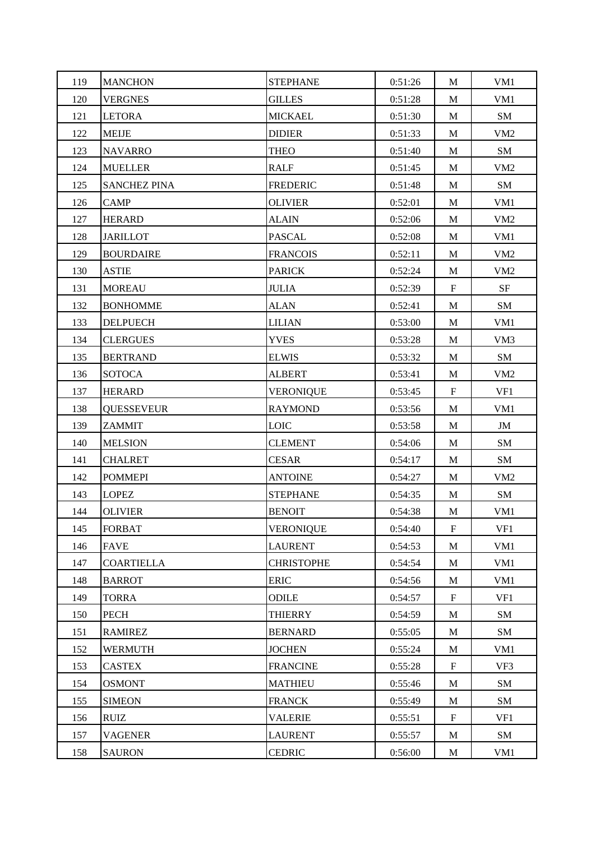| 119 | <b>MANCHON</b>      | <b>STEPHANE</b>   | 0:51:26 | M                         | VM1             |
|-----|---------------------|-------------------|---------|---------------------------|-----------------|
| 120 | <b>VERGNES</b>      | <b>GILLES</b>     | 0:51:28 | M                         | VM1             |
| 121 | <b>LETORA</b>       | <b>MICKAEL</b>    | 0:51:30 | M                         | SM              |
| 122 | <b>MEIJE</b>        | <b>DIDIER</b>     | 0:51:33 | M                         | VM <sub>2</sub> |
| 123 | <b>NAVARRO</b>      | <b>THEO</b>       | 0:51:40 | M                         | SM              |
| 124 | <b>MUELLER</b>      | <b>RALF</b>       | 0:51:45 | M                         | VM <sub>2</sub> |
| 125 | <b>SANCHEZ PINA</b> | <b>FREDERIC</b>   | 0:51:48 | M                         | SM              |
| 126 | CAMP                | <b>OLIVIER</b>    | 0:52:01 | M                         | VM1             |
| 127 | <b>HERARD</b>       | <b>ALAIN</b>      | 0:52:06 | M                         | VM <sub>2</sub> |
| 128 | <b>JARILLOT</b>     | <b>PASCAL</b>     | 0:52:08 | M                         | VM1             |
| 129 | <b>BOURDAIRE</b>    | <b>FRANCOIS</b>   | 0:52:11 | M                         | VM <sub>2</sub> |
| 130 | <b>ASTIE</b>        | <b>PARICK</b>     | 0:52:24 | M                         | VM <sub>2</sub> |
| 131 | <b>MOREAU</b>       | <b>JULIA</b>      | 0:52:39 | $\mathbf F$               | SF              |
| 132 | <b>BONHOMME</b>     | <b>ALAN</b>       | 0:52:41 | M                         | SM              |
| 133 | <b>DELPUECH</b>     | <b>LILIAN</b>     | 0:53:00 | M                         | VM1             |
| 134 | <b>CLERGUES</b>     | <b>YVES</b>       | 0:53:28 | M                         | VM <sub>3</sub> |
| 135 | <b>BERTRAND</b>     | <b>ELWIS</b>      | 0:53:32 | M                         | SM              |
| 136 | <b>SOTOCA</b>       | <b>ALBERT</b>     | 0:53:41 | M                         | VM <sub>2</sub> |
| 137 | <b>HERARD</b>       | VERONIQUE         | 0:53:45 | F                         | VF1             |
| 138 | <b>QUESSEVEUR</b>   | <b>RAYMOND</b>    | 0:53:56 | M                         | VM1             |
| 139 | <b>ZAMMIT</b>       | <b>LOIC</b>       | 0:53:58 | M                         | $\mathbf{JM}$   |
| 140 | <b>MELSION</b>      | <b>CLEMENT</b>    | 0:54:06 | M                         | SM              |
| 141 | <b>CHALRET</b>      | <b>CESAR</b>      | 0:54:17 | M                         | SM              |
| 142 | <b>POMMEPI</b>      | <b>ANTOINE</b>    | 0:54:27 | M                         | VM <sub>2</sub> |
| 143 | <b>LOPEZ</b>        | <b>STEPHANE</b>   | 0:54:35 | M                         | SM              |
| 144 | <b>OLIVIER</b>      | <b>BENOIT</b>     | 0:54:38 | M                         | VM1             |
| 145 | <b>FORBAT</b>       | <b>VERONIQUE</b>  | 0:54:40 | ${\bf F}$                 | VF1             |
| 146 | <b>FAVE</b>         | <b>LAURENT</b>    | 0:54:53 | M                         | VM1             |
| 147 | <b>COARTIELLA</b>   | <b>CHRISTOPHE</b> | 0:54:54 | M                         | VM1             |
| 148 | <b>BARROT</b>       | <b>ERIC</b>       | 0:54:56 | $\mathbf M$               | VM1             |
| 149 | <b>TORRA</b>        | <b>ODILE</b>      | 0:54:57 | $\mathbf F$               | VF1             |
| 150 | PECH                | <b>THIERRY</b>    | 0:54:59 | $\mathbf M$               | SM              |
| 151 | <b>RAMIREZ</b>      | <b>BERNARD</b>    | 0:55:05 | M                         | SM              |
| 152 | <b>WERMUTH</b>      | <b>JOCHEN</b>     | 0:55:24 | M                         | VM1             |
| 153 | <b>CASTEX</b>       | <b>FRANCINE</b>   | 0:55:28 | $\boldsymbol{\mathrm{F}}$ | VF3             |
| 154 | <b>OSMONT</b>       | <b>MATHIEU</b>    | 0:55:46 | M                         | ${\bf SM}$      |
| 155 | <b>SIMEON</b>       | <b>FRANCK</b>     | 0:55:49 | M                         | ${\bf SM}$      |
| 156 | <b>RUIZ</b>         | <b>VALERIE</b>    | 0:55:51 | $\mathbf F$               | VF1             |
| 157 | <b>VAGENER</b>      | <b>LAURENT</b>    | 0:55:57 | M                         | SM              |
| 158 | <b>SAURON</b>       | <b>CEDRIC</b>     | 0:56:00 | M                         | VM1             |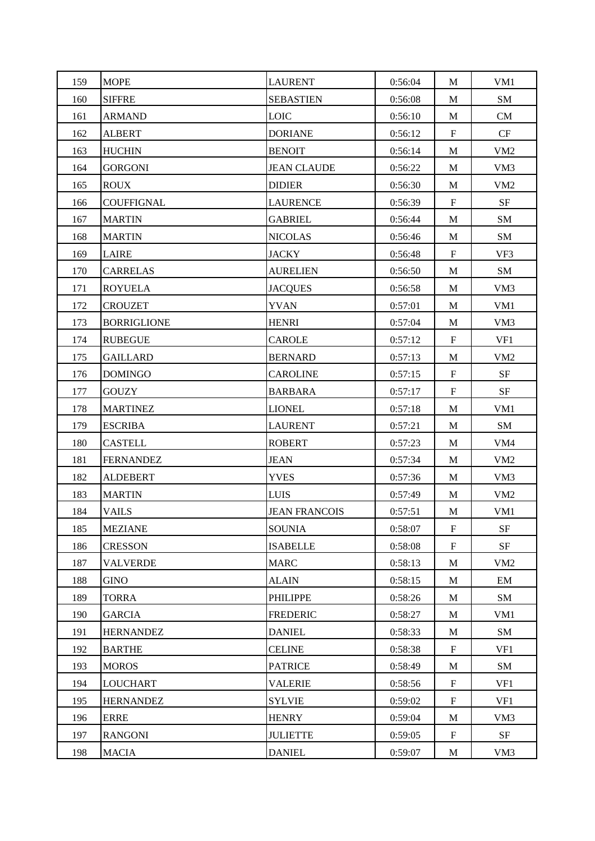| 159 | <b>MOPE</b>        | <b>LAURENT</b>       | 0:56:04 | M                         | VM1             |
|-----|--------------------|----------------------|---------|---------------------------|-----------------|
| 160 | <b>SIFFRE</b>      | <b>SEBASTIEN</b>     | 0:56:08 | M                         | SM              |
| 161 | <b>ARMAND</b>      | <b>LOIC</b>          | 0:56:10 | M                         | CM              |
| 162 | <b>ALBERT</b>      | <b>DORIANE</b>       | 0:56:12 | $\boldsymbol{\mathrm{F}}$ | CF              |
| 163 | <b>HUCHIN</b>      | <b>BENOIT</b>        | 0:56:14 | M                         | VM <sub>2</sub> |
| 164 | <b>GORGONI</b>     | <b>JEAN CLAUDE</b>   | 0:56:22 | M                         | VM <sub>3</sub> |
| 165 | <b>ROUX</b>        | <b>DIDIER</b>        | 0:56:30 | M                         | VM <sub>2</sub> |
| 166 | <b>COUFFIGNAL</b>  | <b>LAURENCE</b>      | 0:56:39 | $\mathbf F$               | $\rm{SF}$       |
| 167 | <b>MARTIN</b>      | <b>GABRIEL</b>       | 0:56:44 | M                         | SM              |
| 168 | <b>MARTIN</b>      | <b>NICOLAS</b>       | 0:56:46 | M                         | SM              |
| 169 | <b>LAIRE</b>       | <b>JACKY</b>         | 0:56:48 | $\mathbf F$               | VF3             |
| 170 | <b>CARRELAS</b>    | <b>AURELIEN</b>      | 0:56:50 | M                         | SM              |
| 171 | <b>ROYUELA</b>     | <b>JACQUES</b>       | 0:56:58 | M                         | VM3             |
| 172 | <b>CROUZET</b>     | <b>YVAN</b>          | 0:57:01 | M                         | VM1             |
| 173 | <b>BORRIGLIONE</b> | <b>HENRI</b>         | 0:57:04 | M                         | VM3             |
| 174 | <b>RUBEGUE</b>     | <b>CAROLE</b>        | 0:57:12 | $\mathbf F$               | VF1             |
| 175 | <b>GAILLARD</b>    | <b>BERNARD</b>       | 0:57:13 | M                         | VM <sub>2</sub> |
| 176 | <b>DOMINGO</b>     | <b>CAROLINE</b>      | 0:57:15 | $\mathbf F$               | SF              |
| 177 | <b>GOUZY</b>       | <b>BARBARA</b>       | 0:57:17 | $\mathbf F$               | SF              |
| 178 | <b>MARTINEZ</b>    | <b>LIONEL</b>        | 0:57:18 | M                         | VM1             |
| 179 | <b>ESCRIBA</b>     | <b>LAURENT</b>       | 0:57:21 | M                         | SM              |
| 180 | <b>CASTELL</b>     | <b>ROBERT</b>        | 0:57:23 | M                         | VM <sub>4</sub> |
| 181 | <b>FERNANDEZ</b>   | <b>JEAN</b>          | 0:57:34 | M                         | VM <sub>2</sub> |
| 182 | <b>ALDEBERT</b>    | <b>YVES</b>          | 0:57:36 | M                         | VM3             |
| 183 | <b>MARTIN</b>      | <b>LUIS</b>          | 0:57:49 | M                         | VM <sub>2</sub> |
| 184 | <b>VAILS</b>       | <b>JEAN FRANCOIS</b> | 0:57:51 | $\mathbf M$               | VM1             |
| 185 | <b>MEZIANE</b>     | <b>SOUNIA</b>        | 0:58:07 | $\mathbf F$               | $\rm{SF}$       |
| 186 | <b>CRESSON</b>     | <b>ISABELLE</b>      | 0:58:08 | $\mathbf F$               | $\rm{SF}$       |
| 187 | <b>VALVERDE</b>    | <b>MARC</b>          | 0:58:13 | M                         | VM <sub>2</sub> |
| 188 | <b>GINO</b>        | <b>ALAIN</b>         | 0:58:15 | M                         | EM              |
| 189 | <b>TORRA</b>       | PHILIPPE             | 0:58:26 | $\mathbf M$               | SM              |
| 190 | <b>GARCIA</b>      | <b>FREDERIC</b>      | 0:58:27 | M                         | VM1             |
| 191 | <b>HERNANDEZ</b>   | <b>DANIEL</b>        | 0:58:33 | M                         | SM              |
| 192 | <b>BARTHE</b>      | <b>CELINE</b>        | 0:58:38 | $\mathbf F$               | VF1             |
| 193 | <b>MOROS</b>       | <b>PATRICE</b>       | 0:58:49 | M                         | SM              |
| 194 | <b>LOUCHART</b>    | VALERIE              | 0:58:56 | $\boldsymbol{\mathrm{F}}$ | VF1             |
| 195 | <b>HERNANDEZ</b>   | <b>SYLVIE</b>        | 0:59:02 | F                         | VF1             |
| 196 | <b>ERRE</b>        | <b>HENRY</b>         | 0:59:04 | $\mathbf M$               | VM3             |
| 197 | <b>RANGONI</b>     | <b>JULIETTE</b>      | 0:59:05 | $\mathbf F$               | <b>SF</b>       |
| 198 | <b>MACIA</b>       | <b>DANIEL</b>        | 0:59:07 | M                         | VM3             |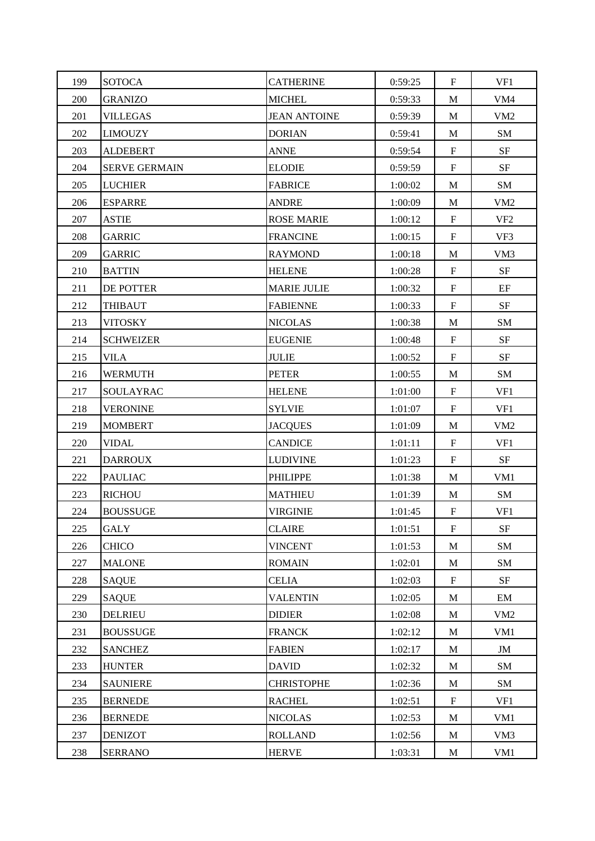| 199 | <b>SOTOCA</b>        | <b>CATHERINE</b>    | 0:59:25 | $\boldsymbol{\mathrm{F}}$ | VF1             |
|-----|----------------------|---------------------|---------|---------------------------|-----------------|
| 200 | <b>GRANIZO</b>       | <b>MICHEL</b>       | 0:59:33 | M                         | VM4             |
| 201 | <b>VILLEGAS</b>      | <b>JEAN ANTOINE</b> | 0:59:39 | M                         | VM <sub>2</sub> |
| 202 | <b>LIMOUZY</b>       | <b>DORIAN</b>       | 0:59:41 | M                         | SM              |
| 203 | <b>ALDEBERT</b>      | <b>ANNE</b>         | 0:59:54 | F                         | SF              |
| 204 | <b>SERVE GERMAIN</b> | <b>ELODIE</b>       | 0:59:59 | $\mathbf F$               | <b>SF</b>       |
| 205 | <b>LUCHIER</b>       | <b>FABRICE</b>      | 1:00:02 | M                         | SM              |
| 206 | <b>ESPARRE</b>       | <b>ANDRE</b>        | 1:00:09 | $\mathbf M$               | VM <sub>2</sub> |
| 207 | <b>ASTIE</b>         | <b>ROSE MARIE</b>   | 1:00:12 | $\mathbf F$               | VF <sub>2</sub> |
| 208 | <b>GARRIC</b>        | <b>FRANCINE</b>     | 1:00:15 | $\mathbf F$               | VF3             |
| 209 | <b>GARRIC</b>        | <b>RAYMOND</b>      | 1:00:18 | M                         | VM3             |
| 210 | <b>BATTIN</b>        | <b>HELENE</b>       | 1:00:28 | $\mathbf F$               | <b>SF</b>       |
| 211 | DE POTTER            | <b>MARIE JULIE</b>  | 1:00:32 | F                         | EF              |
| 212 | <b>THIBAUT</b>       | <b>FABIENNE</b>     | 1:00:33 | $\mathbf F$               | <b>SF</b>       |
| 213 | <b>VITOSKY</b>       | <b>NICOLAS</b>      | 1:00:38 | M                         | SM              |
| 214 | <b>SCHWEIZER</b>     | <b>EUGENIE</b>      | 1:00:48 | $\mathbf F$               | <b>SF</b>       |
| 215 | <b>VILA</b>          | <b>JULIE</b>        | 1:00:52 | $\mathbf F$               | <b>SF</b>       |
| 216 | <b>WERMUTH</b>       | <b>PETER</b>        | 1:00:55 | M                         | SM              |
| 217 | SOULAYRAC            | <b>HELENE</b>       | 1:01:00 | F                         | VF1             |
| 218 | <b>VERONINE</b>      | SYLVIE              | 1:01:07 | $\mathbf F$               | VF1             |
| 219 | <b>MOMBERT</b>       | <b>JACQUES</b>      | 1:01:09 | M                         | VM <sub>2</sub> |
| 220 | <b>VIDAL</b>         | <b>CANDICE</b>      | 1:01:11 | $\mathbf F$               | VF1             |
| 221 | <b>DARROUX</b>       | <b>LUDIVINE</b>     | 1:01:23 | $\mathbf F$               | <b>SF</b>       |
| 222 | <b>PAULIAC</b>       | PHILIPPE            | 1:01:38 | M                         | VM1             |
| 223 | <b>RICHOU</b>        | <b>MATHIEU</b>      | 1:01:39 | M                         | SM              |
| 224 | <b>BOUSSUGE</b>      | VIRGINIE            | 1:01:45 | $\mathbf F$               | VF1             |
| 225 | GALY                 | <b>CLAIRE</b>       | 1:01:51 | $\mathbf F$               | $\rm{SF}$       |
| 226 | <b>CHICO</b>         | <b>VINCENT</b>      | 1:01:53 | M                         | SM              |
| 227 | <b>MALONE</b>        | <b>ROMAIN</b>       | 1:02:01 | M                         | SM              |
| 228 | <b>SAQUE</b>         | <b>CELIA</b>        | 1:02:03 | $\mathbf F$               | <b>SF</b>       |
| 229 | <b>SAQUE</b>         | <b>VALENTIN</b>     | 1:02:05 | $\mathbf M$               | EM              |
| 230 | <b>DELRIEU</b>       | <b>DIDIER</b>       | 1:02:08 | M                         | VM <sub>2</sub> |
| 231 | <b>BOUSSUGE</b>      | <b>FRANCK</b>       | 1:02:12 | M                         | VM1             |
| 232 | <b>SANCHEZ</b>       | <b>FABIEN</b>       | 1:02:17 | M                         | $\mathbf{JM}$   |
| 233 | <b>HUNTER</b>        | <b>DAVID</b>        | 1:02:32 | M                         | SM              |
| 234 | <b>SAUNIERE</b>      | <b>CHRISTOPHE</b>   | 1:02:36 | M                         | SM              |
| 235 | <b>BERNEDE</b>       | <b>RACHEL</b>       | 1:02:51 | $\mathbf F$               | VF1             |
| 236 | <b>BERNEDE</b>       | <b>NICOLAS</b>      | 1:02:53 | M                         | VM1             |
| 237 | <b>DENIZOT</b>       | <b>ROLLAND</b>      | 1:02:56 | M                         | VM <sub>3</sub> |
| 238 | <b>SERRANO</b>       | <b>HERVE</b>        | 1:03:31 | M                         | VM1             |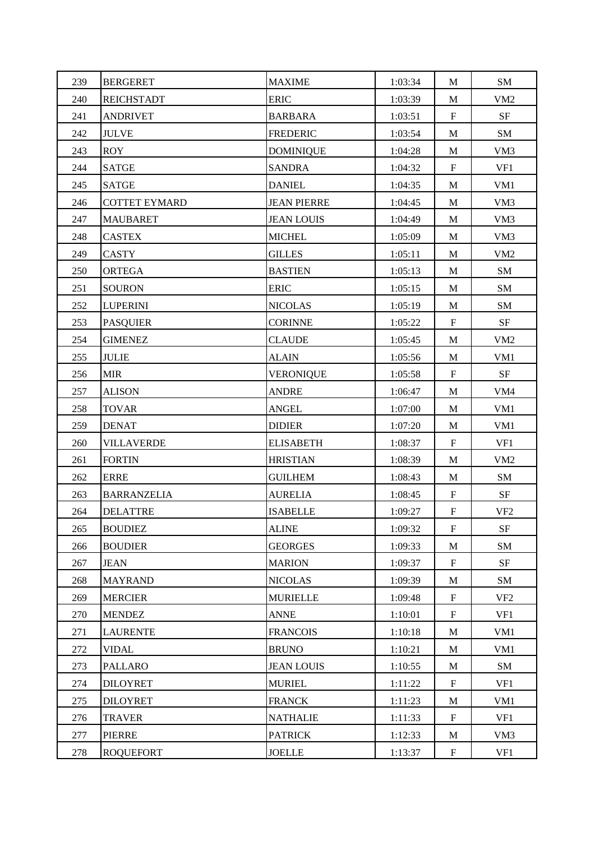| 239 | <b>BERGERET</b>      | <b>MAXIME</b>      | 1:03:34 | M                         | SM              |
|-----|----------------------|--------------------|---------|---------------------------|-----------------|
| 240 | <b>REICHSTADT</b>    | <b>ERIC</b>        | 1:03:39 | M                         | VM <sub>2</sub> |
| 241 | <b>ANDRIVET</b>      | <b>BARBARA</b>     | 1:03:51 | $\boldsymbol{\mathrm{F}}$ | $\rm{SF}$       |
| 242 | <b>JULVE</b>         | <b>FREDERIC</b>    | 1:03:54 | M                         | SM              |
| 243 | <b>ROY</b>           | <b>DOMINIQUE</b>   | 1:04:28 | M                         | VM3             |
| 244 | <b>SATGE</b>         | <b>SANDRA</b>      | 1:04:32 | $\mathbf F$               | VF1             |
| 245 | <b>SATGE</b>         | <b>DANIEL</b>      | 1:04:35 | $\mathbf{M}$              | VM1             |
| 246 | <b>COTTET EYMARD</b> | <b>JEAN PIERRE</b> | 1:04:45 | $\mathbf M$               | VM3             |
| 247 | <b>MAUBARET</b>      | <b>JEAN LOUIS</b>  | 1:04:49 | M                         | VM <sub>3</sub> |
| 248 | <b>CASTEX</b>        | <b>MICHEL</b>      | 1:05:09 | M                         | VM3             |
| 249 | CASTY                | <b>GILLES</b>      | 1:05:11 | M                         | VM <sub>2</sub> |
| 250 | ORTEGA               | <b>BASTIEN</b>     | 1:05:13 | M                         | SM              |
| 251 | <b>SOURON</b>        | <b>ERIC</b>        | 1:05:15 | M                         | SM              |
| 252 | <b>LUPERINI</b>      | <b>NICOLAS</b>     | 1:05:19 | M                         | SM              |
| 253 | <b>PASQUIER</b>      | <b>CORINNE</b>     | 1:05:22 | $\boldsymbol{\mathrm{F}}$ | <b>SF</b>       |
| 254 | <b>GIMENEZ</b>       | <b>CLAUDE</b>      | 1:05:45 | M                         | VM <sub>2</sub> |
| 255 | <b>JULIE</b>         | <b>ALAIN</b>       | 1:05:56 | $\mathbf M$               | VM1             |
| 256 | <b>MIR</b>           | <b>VERONIQUE</b>   | 1:05:58 | $\boldsymbol{\mathrm{F}}$ | <b>SF</b>       |
| 257 | <b>ALISON</b>        | <b>ANDRE</b>       | 1:06:47 | M                         | VM4             |
| 258 | <b>TOVAR</b>         | <b>ANGEL</b>       | 1:07:00 | M                         | VM1             |
| 259 | <b>DENAT</b>         | <b>DIDIER</b>      | 1:07:20 | M                         | VM1             |
| 260 | <b>VILLAVERDE</b>    | <b>ELISABETH</b>   | 1:08:37 | $\mathbf F$               | VF1             |
| 261 | <b>FORTIN</b>        | <b>HRISTIAN</b>    | 1:08:39 | $\mathbf M$               | VM <sub>2</sub> |
| 262 | <b>ERRE</b>          | <b>GUILHEM</b>     | 1:08:43 | M                         | SM              |
| 263 | <b>BARRANZELIA</b>   | <b>AURELIA</b>     | 1:08:45 | $\mathbf F$               | $\rm{SF}$       |
| 264 | <b>DELATTRE</b>      | <b>ISABELLE</b>    | 1:09:27 | $\boldsymbol{\mathrm{F}}$ | VF <sub>2</sub> |
| 265 | <b>BOUDIEZ</b>       | <b>ALINE</b>       | 1:09:32 | $\mathbf F$               | $\rm{SF}$       |
| 266 | <b>BOUDIER</b>       | <b>GEORGES</b>     | 1:09:33 | M                         | <b>SM</b>       |
| 267 | <b>JEAN</b>          | <b>MARION</b>      | 1:09:37 | $\mathbf F$               | <b>SF</b>       |
| 268 | <b>MAYRAND</b>       | <b>NICOLAS</b>     | 1:09:39 | $\mathbf M$               | SM              |
| 269 | <b>MERCIER</b>       | <b>MURIELLE</b>    | 1:09:48 | $\mathbf F$               | VF <sub>2</sub> |
| 270 | <b>MENDEZ</b>        | <b>ANNE</b>        | 1:10:01 | $\mathbf F$               | VF1             |
| 271 | <b>LAURENTE</b>      | <b>FRANCOIS</b>    | 1:10:18 | M                         | VM1             |
| 272 | VIDAL                | <b>BRUNO</b>       | 1:10:21 | M                         | VM1             |
| 273 | <b>PALLARO</b>       | <b>JEAN LOUIS</b>  | 1:10:55 | M                         | SM              |
| 274 | <b>DILOYRET</b>      | <b>MURIEL</b>      | 1:11:22 | F                         | VF1             |
| 275 | <b>DILOYRET</b>      | <b>FRANCK</b>      | 1:11:23 | M                         | VM1             |
| 276 | <b>TRAVER</b>        | <b>NATHALIE</b>    | 1:11:33 | $\mathbf F$               | VF1             |
| 277 | PIERRE               | <b>PATRICK</b>     | 1:12:33 | M                         | VM <sub>3</sub> |
| 278 | <b>ROQUEFORT</b>     | <b>JOELLE</b>      | 1:13:37 | $\mathbf F$               | VF1             |